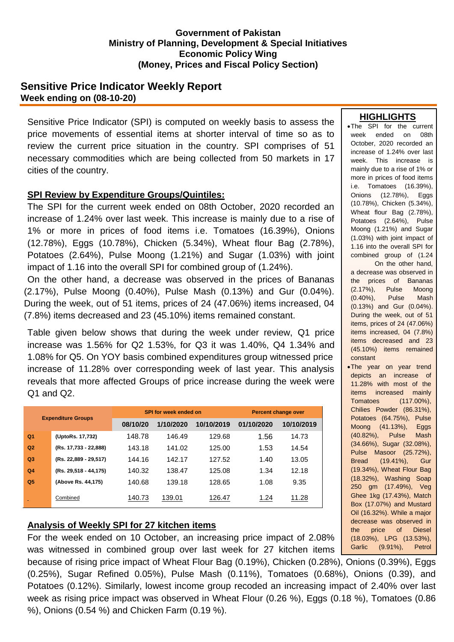#### **Government of Pakistan Ministry of Planning, Development & Special Initiatives Economic Policy Wing (Money, Prices and Fiscal Policy Section)**

# **Sensitive Price Indicator Weekly Report Week ending on (08-10-20)**

Sensitive Price Indicator (SPI) is computed on weekly basis to assess the price movements of essential items at shorter interval of time so as to review the current price situation in the country. SPI comprises of 51 necessary commodities which are being collected from 50 markets in 17 cities of the country.

## **SPI Review by Expenditure Groups/Quintiles:**

The SPI for the current week ended on 08th October, 2020 recorded an increase of 1.24% over last week. This increase is mainly due to a rise of 1% or more in prices of food items i.e. Tomatoes (16.39%), Onions (12.78%), Eggs (10.78%), Chicken (5.34%), Wheat flour Bag (2.78%), Potatoes (2.64%), Pulse Moong (1.21%) and Sugar (1.03%) with joint impact of 1.16 into the overall SPI for combined group of (1.24%).

On the other hand, a decrease was observed in the prices of Bananas (2.17%), Pulse Moong (0.40%), Pulse Mash (0.13%) and Gur (0.04%). During the week, out of 51 items, prices of 24 (47.06%) items increased, 04 (7.8%) items decreased and 23 (45.10%) items remained constant.

Table given below shows that during the week under review, Q1 price increase was 1.56% for Q2 1.53%, for Q3 it was 1.40%, Q4 1.34% and 1.08% for Q5. On YOY basis combined expenditures group witnessed price increase of 11.28% over corresponding week of last year. This analysis reveals that more affected Groups of price increase during the week were Q1 and Q2.

| <b>Expenditure Groups</b> |                       |          | <b>SPI for week ended on</b> | <b>Percent change over</b> |            |            |
|---------------------------|-----------------------|----------|------------------------------|----------------------------|------------|------------|
|                           |                       | 08/10/20 | 1/10/2020                    | 10/10/2019                 | 01/10/2020 | 10/10/2019 |
| Q <sub>1</sub>            | (UptoRs. 17,732)      | 148.78   | 146.49                       | 129.68                     | 1.56       | 14.73      |
| Q <sub>2</sub>            | (Rs. 17,733 - 22,888) | 143.18   | 141.02                       | 125.00                     | 1.53       | 14.54      |
| Q <sub>3</sub>            | (Rs. 22,889 - 29,517) | 144.16   | 142.17                       | 127.52                     | 1.40       | 13.05      |
| Q <sub>4</sub>            | (Rs. 29,518 - 44,175) | 140.32   | 138.47                       | 125.08                     | 1.34       | 12.18      |
| Q <sub>5</sub>            | (Above Rs. 44,175)    | 140.68   | 139.18                       | 128.65                     | 1.08       | 9.35       |
|                           | Combined              | 140.73   | 139.01                       | 126.47                     | 1.24       | 11.28      |

## **Analysis of Weekly SPI for 27 kitchen items**

For the week ended on 10 October, an increasing price impact of 2.08% was witnessed in combined group over last week for 27 kitchen items

hecause of rising price impact of Wheat Flour Bag (0.19%), Chicken (0.28%), Onions (0.39%), Eggs (0.25%), Sugar Refined 0.05%), Pulse Mash (0.11%), Tomatoes (0.68%), Onions (0.39), and Potatoes (0.12%). Similarly, lowest income group recoded an increasing impact of 2.40% over last week as rising price impact was observed in Wheat Flour (0.26 %), Eggs (0.18 %), Tomatoes (0.86 %), Onions (0.54 %) and Chicken Farm (0.19 %). znions

### **HIGHLIGHTS**

The SPI for the current week ended on 08th October, 2020 recorded an increase of 1.24% over last week. This increase is mainly due to a rise of 1% or more in prices of food items i.e. Tomatoes (16.39%), Onions (12.78%), Eggs (10.78%), Chicken (5.34%), Wheat flour Bag (2.78%), Potatoes (2.64%), Pulse Moong (1.21%) and Sugar (1.03%) with joint impact of 1.16 into the overall SPI for combined group of (1.24 On the other hand, a decrease was observed in

the prices of Bananas (2.17%), Pulse Moong (0.40%), Pulse Mash (0.13%) and Gur (0.04%). During the week, out of 51 items, prices of 24 (47.06%) items increased, 04 (7.8%) items decreased and 23 (45.10%) items remained constant

• The year on year trend depicts an increase of 11.28% with most of the items increased mainly Tomatoes (117.00%), Chilies Powder (86.31%), Potatoes (64.75%), Pulse Moong (41.13%), Eggs (40.82%), Pulse Mash (34.66%), Sugar (32.08%), Pulse Masoor (25.72%), Bread (19.41%), Gur (19.34%), Wheat Flour Bag (18.32%), Washing Soap 250 gm (17.49%), Veg Ghee 1kg (17.43%), Match Box (17.07%) and Mustard Oil (16.32%). While a major decrease was observed in the price of Diesel (18.03%), LPG (13.53%), Garlic (9.91%), Petrol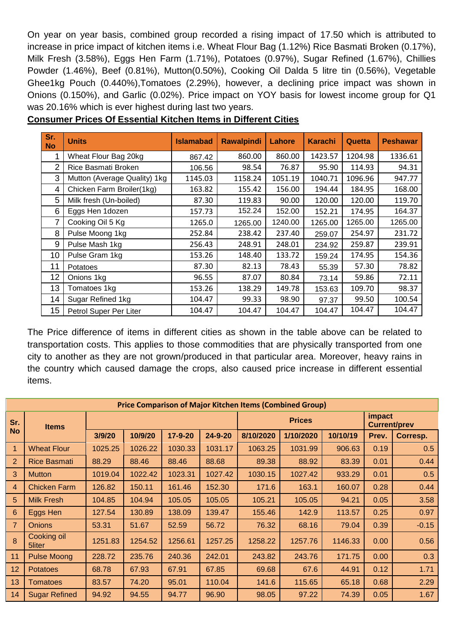On year on year basis, combined group recorded a rising impact of 17.50 which is attributed to increase in price impact of kitchen items i.e. Wheat Flour Bag (1.12%) Rice Basmati Broken (0.17%), Milk Fresh (3.58%), Eggs Hen Farm (1.71%), Potatoes (0.97%), Sugar Refined (1.67%), Chillies Powder (1.46%), Beef (0.81%), Mutton(0.50%), Cooking Oil Dalda 5 litre tin (0.56%), Vegetable Ghee1kg Pouch (0.440%),Tomatoes (2.29%), however, a declining price impact was shown in Onions (0.150%), and Garlic (0.02%). Price impact on YOY basis for lowest income group for Q1 was 20.16% which is ever highest during last two years.

| Sr.<br><b>No</b> | <b>Units</b>                 | <b>Islamabad</b> | <b>Rawalpindi</b> | Lahore  | <b>Karachi</b> | Quetta  | <b>Peshawar</b> |
|------------------|------------------------------|------------------|-------------------|---------|----------------|---------|-----------------|
| 1                | Wheat Flour Bag 20kg         | 867.42           | 860.00            | 860.00  | 1423.57        | 1204.98 | 1336.61         |
| $\overline{2}$   | Rice Basmati Broken          | 106.56           | 98.54             | 76.87   | 95.90          | 114.93  | 94.31           |
| 3                | Mutton (Average Quality) 1kg | 1145.03          | 1158.24           | 1051.19 | 1040.71        | 1096.96 | 947.77          |
| 4                | Chicken Farm Broiler(1kg)    | 163.82           | 155.42            | 156.00  | 194.44         | 184.95  | 168.00          |
| 5                | Milk fresh (Un-boiled)       | 87.30            | 119.83            | 90.00   | 120.00         | 120.00  | 119.70          |
| 6                | Eggs Hen 1dozen              | 157.73           | 152.24            | 152.00  | 152.21         | 174.95  | 164.37          |
| 7                | Cooking Oil 5 Kg             | 1265.0           | 1265.00           | 1240.00 | 1265.00        | 1265.00 | 1265.00         |
| 8                | Pulse Moong 1kg              | 252.84           | 238.42            | 237.40  | 259.07         | 254.97  | 231.72          |
| 9                | Pulse Mash 1kg               | 256.43           | 248.91            | 248.01  | 234.92         | 259.87  | 239.91          |
| 10               | Pulse Gram 1kg               | 153.26           | 148.40            | 133.72  | 159.24         | 174.95  | 154.36          |
| 11               | Potatoes                     | 87.30            | 82.13             | 78.43   | 55.39          | 57.30   | 78.82           |
| 12               | Onions 1kg                   | 96.55            | 87.07             | 80.84   | 73.14          | 59.86   | 72.11           |
| 13               | Tomatoes 1kg                 | 153.26           | 138.29            | 149.78  | 153.63         | 109.70  | 98.37           |
| 14               | Sugar Refined 1kg            | 104.47           | 99.33             | 98.90   | 97.37          | 99.50   | 100.54          |
| 15               | Petrol Super Per Liter       | 104.47           | 104.47            | 104.47  | 104.47         | 104.47  | 104.47          |

# **Consumer Prices Of Essential Kitchen Items in Different Cities**

The Price difference of items in different cities as shown in the table above can be related to transportation costs. This applies to those commodities that are physically transported from one city to another as they are not grown/produced in that particular area. Moreover, heavy rains in the country which caused damage the crops, also caused price increase in different essential items.

| <b>Price Comparison of Major Kitchen Items (Combined Group)</b> |                       |         |         |         |               |           |           |                               |       |          |
|-----------------------------------------------------------------|-----------------------|---------|---------|---------|---------------|-----------|-----------|-------------------------------|-------|----------|
| Sr.<br><b>No</b>                                                | <b>Items</b>          |         |         |         | <b>Prices</b> |           |           | impact<br><b>Current/prev</b> |       |          |
|                                                                 |                       | 3/9/20  | 10/9/20 | 17-9-20 | $24 - 9 - 20$ | 8/10/2020 | 1/10/2020 | 10/10/19                      | Prev. | Corresp. |
|                                                                 | <b>Wheat Flour</b>    | 1025.25 | 1026.22 | 1030.33 | 1031.17       | 1063.25   | 1031.99   | 906.63                        | 0.19  | 0.5      |
| 2                                                               | <b>Rice Basmati</b>   | 88.29   | 88.46   | 88.46   | 88.68         | 89.38     | 88.92     | 83.39                         | 0.01  | 0.44     |
| 3                                                               | <b>Mutton</b>         | 1019.04 | 1022.42 | 1023.31 | 1027.42       | 1030.15   | 1027.42   | 933.29                        | 0.01  | 0.5      |
| $\overline{4}$                                                  | <b>Chicken Farm</b>   | 126.82  | 150.11  | 161.46  | 152.30        | 171.6     | 163.1     | 160.07                        | 0.28  | 0.44     |
| 5                                                               | <b>Milk Fresh</b>     | 104.85  | 104.94  | 105.05  | 105.05        | 105.21    | 105.05    | 94.21                         | 0.05  | 3.58     |
| 6                                                               | Eggs Hen              | 127.54  | 130.89  | 138.09  | 139.47        | 155.46    | 142.9     | 113.57                        | 0.25  | 0.97     |
| $\overline{7}$                                                  | <b>Onions</b>         | 53.31   | 51.67   | 52.59   | 56.72         | 76.32     | 68.16     | 79.04                         | 0.39  | $-0.15$  |
| $\overline{8}$                                                  | Cooking oil<br>5liter | 1251.83 | 1254.52 | 1256.61 | 1257.25       | 1258.22   | 1257.76   | 1146.33                       | 0.00  | 0.56     |
| 11                                                              | <b>Pulse Moong</b>    | 228.72  | 235.76  | 240.36  | 242.01        | 243.82    | 243.76    | 171.75                        | 0.00  | 0.3      |
| 12                                                              | <b>Potatoes</b>       | 68.78   | 67.93   | 67.91   | 67.85         | 69.68     | 67.6      | 44.91                         | 0.12  | 1.71     |
| 13                                                              | <b>Tomatoes</b>       | 83.57   | 74.20   | 95.01   | 110.04        | 141.6     | 115.65    | 65.18                         | 0.68  | 2.29     |
| 14                                                              | <b>Sugar Refined</b>  | 94.92   | 94.55   | 94.77   | 96.90         | 98.05     | 97.22     | 74.39                         | 0.05  | 1.67     |